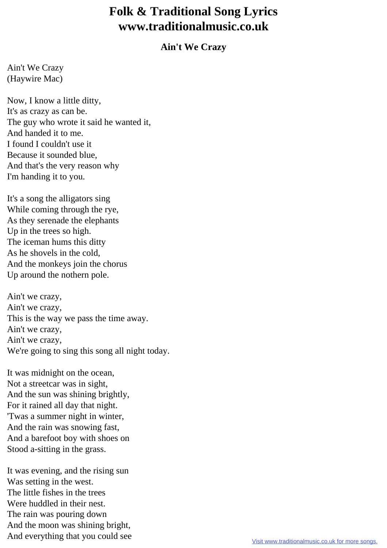## **Folk & Traditional Song Lyrics www.traditionalmusic.co.uk**

## **Ain't We Crazy**

Ain't We Crazy (Haywire Mac)

Now, I know a little ditty, It's as crazy as can be. The guy who wrote it said he wanted it, And handed it to me. I found I couldn't use it Because it sounded blue, And that's the very reason why I'm handing it to you.

It's a song the alligators sing While coming through the rye, As they serenade the elephants Up in the trees so high. The iceman hums this ditty As he shovels in the cold, And the monkeys join the chorus Up around the nothern pole.

Ain't we crazy, Ain't we crazy, This is the way we pass the time away. Ain't we crazy, Ain't we crazy, We're going to sing this song all night today.

It was midnight on the ocean, Not a streetcar was in sight, And the sun was shining brightly, For it rained all day that night. 'Twas a summer night in winter, And the rain was snowing fast, And a barefoot boy with shoes on Stood a-sitting in the grass.

It was evening, and the rising sun Was setting in the west. The little fishes in the trees Were huddled in their nest. The rain was pouring down And the moon was shining bright, And everything that you could see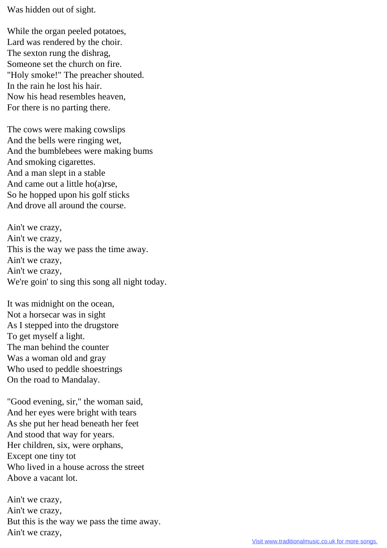Was hidden out of sight.

While the organ peeled potatoes, Lard was rendered by the choir. The sexton rung the dishrag, Someone set the church on fire. "Holy smoke!" The preacher shouted. In the rain he lost his hair. Now his head resembles heaven, For there is no parting there.

The cows were making cowslips And the bells were ringing wet, And the bumblebees were making bums And smoking cigarettes. And a man slept in a stable And came out a little ho(a)rse, So he hopped upon his golf sticks And drove all around the course.

Ain't we crazy, Ain't we crazy, This is the way we pass the time away. Ain't we crazy, Ain't we crazy, We're goin' to sing this song all night today.

It was midnight on the ocean, Not a horsecar was in sight As I stepped into the drugstore To get myself a light. The man behind the counter Was a woman old and gray Who used to peddle shoestrings On the road to Mandalay.

"Good evening, sir," the woman said, And her eyes were bright with tears As she put her head beneath her feet And stood that way for years. Her children, six, were orphans, Except one tiny tot Who lived in a house across the street Above a vacant lot.

Ain't we crazy, Ain't we crazy, But this is the way we pass the time away. Ain't we crazy,